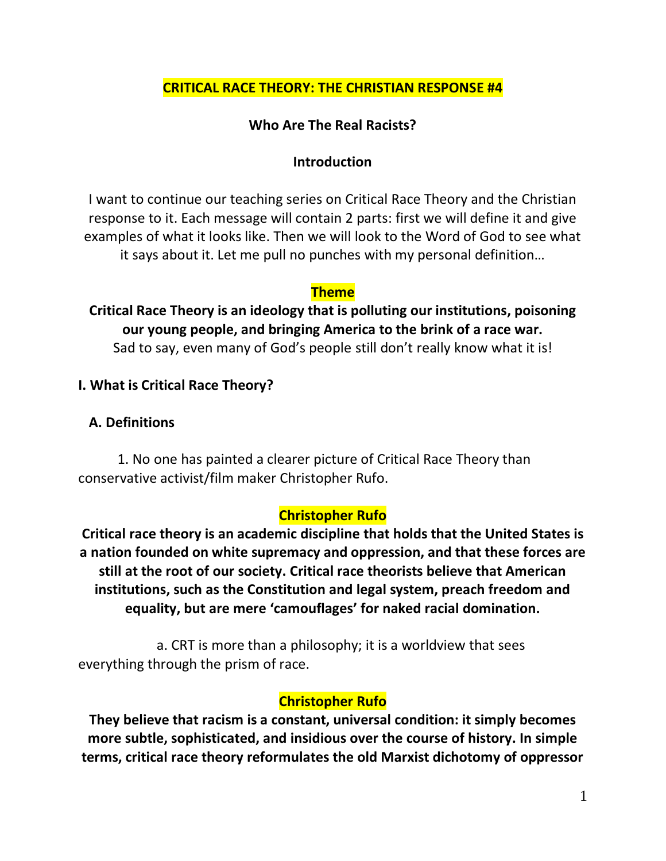## **CRITICAL RACE THEORY: THE CHRISTIAN RESPONSE #4**

## **Who Are The Real Racists?**

#### **Introduction**

I want to continue our teaching series on Critical Race Theory and the Christian response to it. Each message will contain 2 parts: first we will define it and give examples of what it looks like. Then we will look to the Word of God to see what it says about it. Let me pull no punches with my personal definition…

#### **Theme**

**Critical Race Theory is an ideology that is polluting our institutions, poisoning our young people, and bringing America to the brink of a race war.**  Sad to say, even many of God's people still don't really know what it is!

### **I. What is Critical Race Theory?**

#### **A. Definitions**

1. No one has painted a clearer picture of Critical Race Theory than conservative activist/film maker Christopher Rufo.

## **Christopher Rufo**

**Critical race theory is an academic discipline that holds that the United States is a nation founded on white supremacy and oppression, and that these forces are still at the root of our society. Critical race theorists believe that American institutions, such as the Constitution and legal system, preach freedom and equality, but are mere 'camouflages' for naked racial domination.** 

a. CRT is more than a philosophy; it is a worldview that sees everything through the prism of race.

### **Christopher Rufo**

**They believe that racism is a constant, universal condition: it simply becomes more subtle, sophisticated, and insidious over the course of history. In simple terms, critical race theory reformulates the old Marxist dichotomy of oppressor**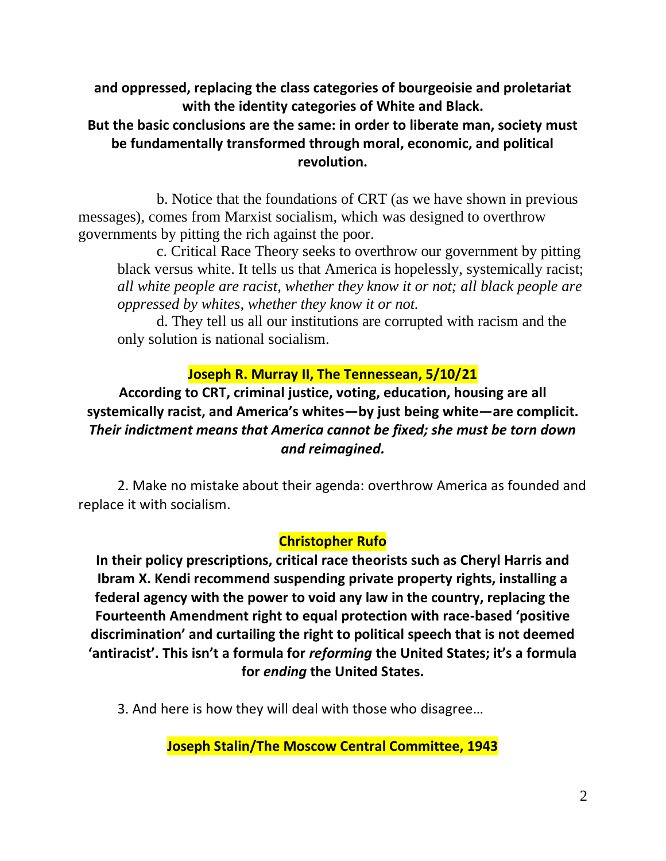**and oppressed, replacing the class categories of bourgeoisie and proletariat with the identity categories of White and Black.**

## **But the basic conclusions are the same: in order to liberate man, society must be fundamentally transformed through moral, economic, and political revolution.**

b. Notice that the foundations of CRT (as we have shown in previous messages), comes from Marxist socialism, which was designed to overthrow governments by pitting the rich against the poor.

c. Critical Race Theory seeks to overthrow our government by pitting black versus white. It tells us that America is hopelessly, systemically racist; *all white people are racist, whether they know it or not; all black people are oppressed by whites, whether they know it or not.*

d. They tell us all our institutions are corrupted with racism and the only solution is national socialism.

## **Joseph R. Murray II, The Tennessean, 5/10/21**

**According to CRT, criminal justice, voting, education, housing are all systemically racist, and America's whites—by just being white—are complicit.**  *Their indictment means that America cannot be fixed; she must be torn down and reimagined.*

2. Make no mistake about their agenda: overthrow America as founded and replace it with socialism.

### **Christopher Rufo**

**In their policy prescriptions, critical race theorists such as Cheryl Harris and Ibram X. Kendi recommend suspending private property rights, installing a federal agency with the power to void any law in the country, replacing the Fourteenth Amendment right to equal protection with race-based 'positive discrimination' and curtailing the right to political speech that is not deemed 'antiracist'. This isn't a formula for** *reforming* **the United States; it's a formula for** *ending* **the United States.**

3. And here is how they will deal with those who disagree…

**Joseph Stalin/The Moscow Central Committee, 1943**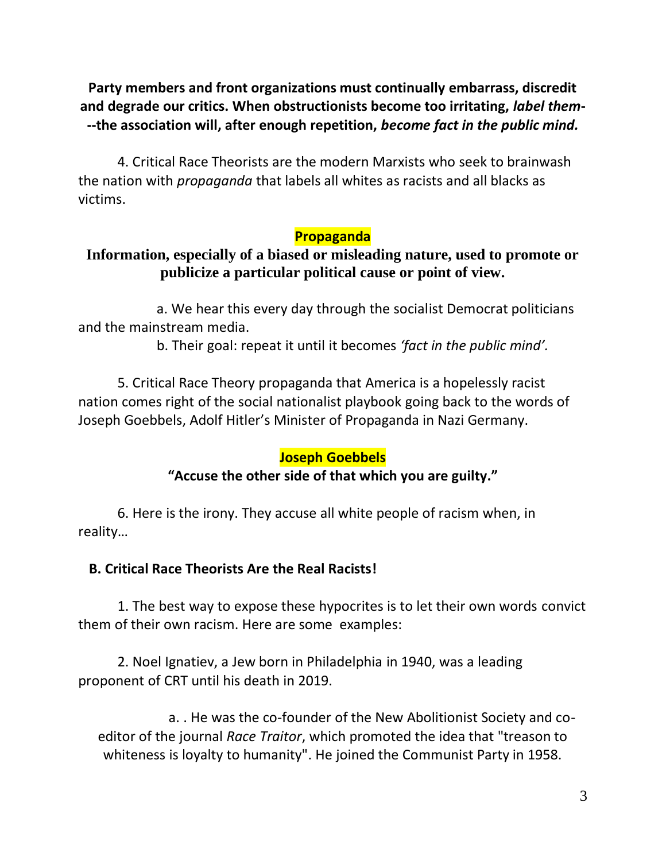## **Party members and front organizations must continually embarrass, discredit and degrade our critics. When obstructionists become too irritating,** *label them***- --the association will, after enough repetition,** *become fact in the public mind.*

4. Critical Race Theorists are the modern Marxists who seek to brainwash the nation with *propaganda* that labels all whites as racists and all blacks as victims.

#### **Propaganda**

## **Information, especially of a biased or misleading nature, used to promote or publicize a particular political cause or point of view.**

a. We hear this every day through the socialist Democrat politicians and the mainstream media.

b. Their goal: repeat it until it becomes *'fact in the public mind'.*

5. Critical Race Theory propaganda that America is a hopelessly racist nation comes right of the social nationalist playbook going back to the words of Joseph Goebbels, Adolf Hitler's Minister of Propaganda in Nazi Germany.

#### **Joseph Goebbels**

### **"Accuse the other side of that which you are guilty."**

6. Here is the irony. They accuse all white people of racism when, in reality…

### **B. Critical Race Theorists Are the Real Racists!**

1. The best way to expose these hypocrites is to let their own words convict them of their own racism. Here are some examples:

2. Noel Ignatiev, a Jew born in Philadelphia in 1940, was a leading proponent of CRT until his death in 2019.

a. . He was the co-founder of the New Abolitionist Society and coeditor of the journal *Race Traitor*, which promoted the idea that "treason to whiteness is loyalty to humanity". He joined the Communist Party in 1958.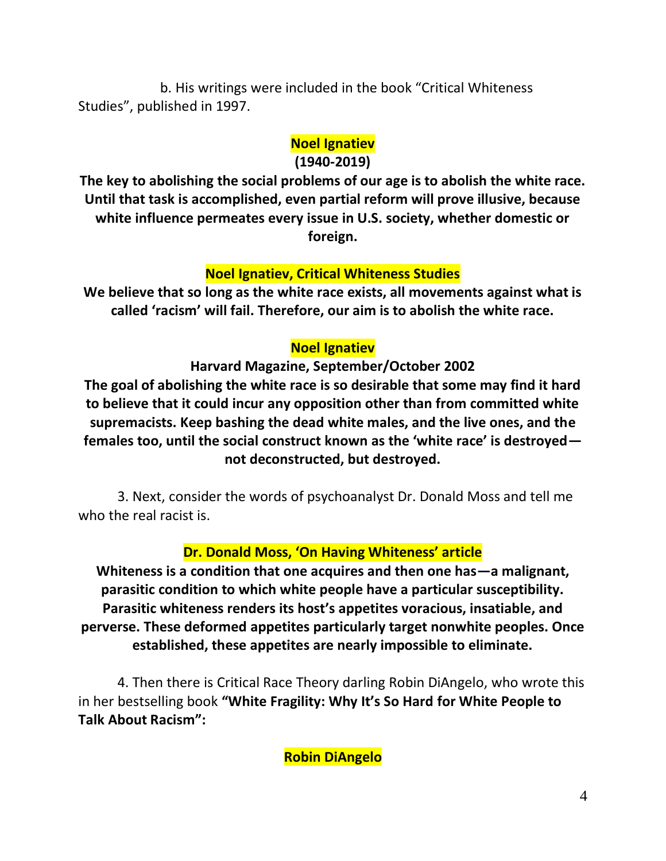b. His writings were included in the book "Critical Whiteness Studies", published in 1997.

# **Noel Ignatiev**

#### **(1940-2019)**

**The key to abolishing the social problems of our age is to abolish the white race. Until that task is accomplished, even partial reform will prove illusive, because white influence permeates every issue in U.S. society, whether domestic or foreign.**

## **Noel Ignatiev, Critical Whiteness Studies**

**We believe that so long as the white race exists, all movements against what is called 'racism' will fail. Therefore, our aim is to abolish the white race.**

# **Noel Ignatiev**

## **Harvard Magazine, September/October 2002**

**The goal of abolishing the white race is so desirable that some may find it hard to believe that it could incur any opposition other than from committed white supremacists. Keep bashing the dead white males, and the live ones, and the females too, until the social construct known as the 'white race' is destroyed not deconstructed, but destroyed.**

3. Next, consider the words of psychoanalyst Dr. Donald Moss and tell me who the real racist is.

## **Dr. Donald Moss, 'On Having Whiteness' article**

**Whiteness is a condition that one acquires and then one has—a malignant, parasitic condition to which white people have a particular susceptibility. Parasitic whiteness renders its host's appetites voracious, insatiable, and perverse. These deformed appetites particularly target nonwhite peoples. Once established, these appetites are nearly impossible to eliminate.**

4. Then there is Critical Race Theory darling Robin DiAngelo, who wrote this in her bestselling book **"White Fragility: Why It's So Hard for White People to Talk About Racism":**

**Robin DiAngelo**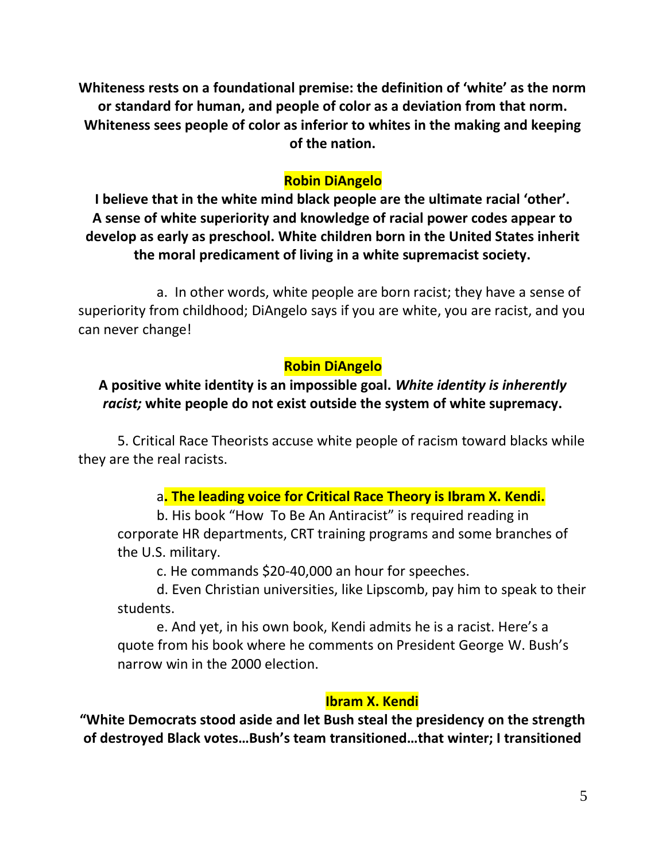**Whiteness rests on a foundational premise: the definition of 'white' as the norm or standard for human, and people of color as a deviation from that norm. Whiteness sees people of color as inferior to whites in the making and keeping of the nation.**

### **Robin DiAngelo**

**I believe that in the white mind black people are the ultimate racial 'other'. A sense of white superiority and knowledge of racial power codes appear to develop as early as preschool. White children born in the United States inherit the moral predicament of living in a white supremacist society.**

a. In other words, white people are born racist; they have a sense of superiority from childhood; DiAngelo says if you are white, you are racist, and you can never change!

### **Robin DiAngelo**

## **A positive white identity is an impossible goal.** *White identity is inherently racist;* **white people do not exist outside the system of white supremacy.**

5. Critical Race Theorists accuse white people of racism toward blacks while they are the real racists.

### a**. The leading voice for Critical Race Theory is Ibram X. Kendi.**

b. His book "How To Be An Antiracist" is required reading in corporate HR departments, CRT training programs and some branches of the U.S. military.

c. He commands \$20-40,000 an hour for speeches.

d. Even Christian universities, like Lipscomb, pay him to speak to their students.

e. And yet, in his own book, Kendi admits he is a racist. Here's a quote from his book where he comments on President George W. Bush's narrow win in the 2000 election.

### **Ibram X. Kendi**

**"White Democrats stood aside and let Bush steal the presidency on the strength of destroyed Black votes…Bush's team transitioned…that winter; I transitioned**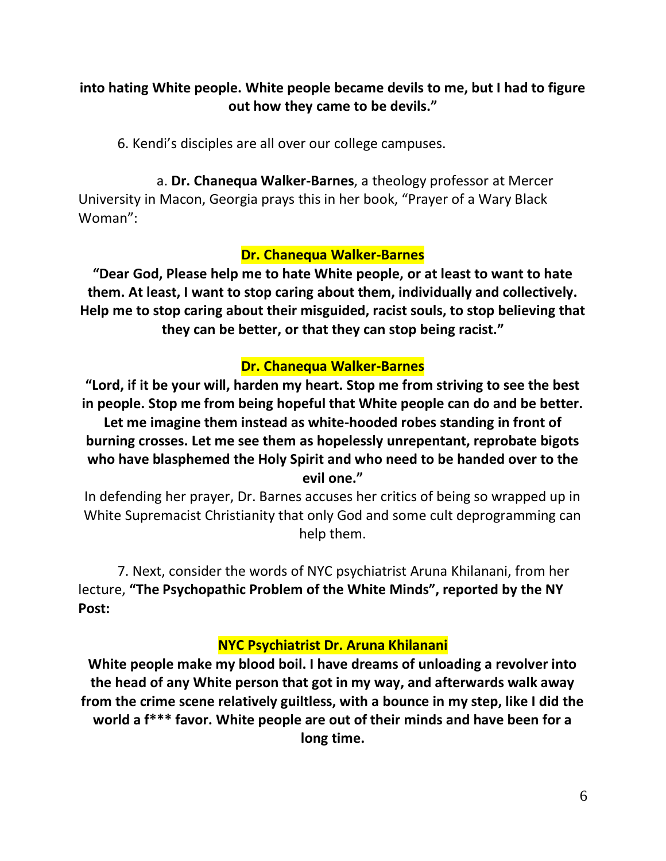## **into hating White people. White people became devils to me, but I had to figure out how they came to be devils."**

6. Kendi's disciples are all over our college campuses.

a. **Dr. Chanequa Walker-Barnes**, a theology professor at Mercer University in Macon, Georgia prays this in her book, "Prayer of a Wary Black Woman":

### **Dr. Chanequa Walker-Barnes**

**"Dear God, Please help me to hate White people, or at least to want to hate them. At least, I want to stop caring about them, individually and collectively. Help me to stop caring about their misguided, racist souls, to stop believing that they can be better, or that they can stop being racist."**

## **Dr. Chanequa Walker-Barnes**

**"Lord, if it be your will, harden my heart. Stop me from striving to see the best in people. Stop me from being hopeful that White people can do and be better. Let me imagine them instead as white-hooded robes standing in front of burning crosses. Let me see them as hopelessly unrepentant, reprobate bigots who have blasphemed the Holy Spirit and who need to be handed over to the evil one."**

In defending her prayer, Dr. Barnes accuses her critics of being so wrapped up in White Supremacist Christianity that only God and some cult deprogramming can help them.

7. Next, consider the words of NYC psychiatrist Aruna Khilanani, from her lecture, **"The Psychopathic Problem of the White Minds", reported by the NY Post:**

### **NYC Psychiatrist Dr. Aruna Khilanani**

**White people make my blood boil. I have dreams of unloading a revolver into the head of any White person that got in my way, and afterwards walk away from the crime scene relatively guiltless, with a bounce in my step, like I did the world a f\*\*\* favor. White people are out of their minds and have been for a long time.**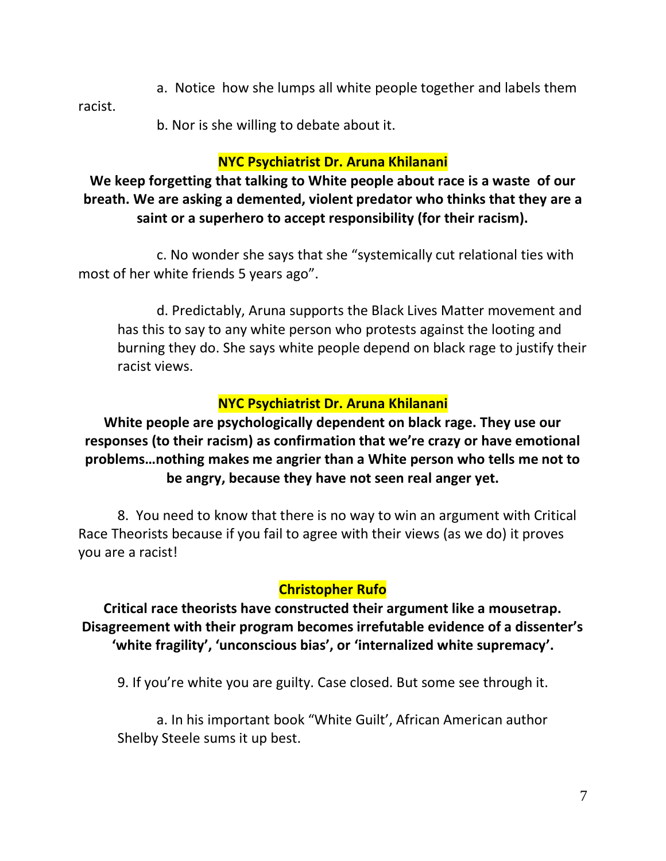a. Notice how she lumps all white people together and labels them

racist.

b. Nor is she willing to debate about it.

# **NYC Psychiatrist Dr. Aruna Khilanani**

# **We keep forgetting that talking to White people about race is a waste of our breath. We are asking a demented, violent predator who thinks that they are a saint or a superhero to accept responsibility (for their racism).**

c. No wonder she says that she "systemically cut relational ties with most of her white friends 5 years ago".

d. Predictably, Aruna supports the Black Lives Matter movement and has this to say to any white person who protests against the looting and burning they do. She says white people depend on black rage to justify their racist views.

# **NYC Psychiatrist Dr. Aruna Khilanani**

**White people are psychologically dependent on black rage. They use our responses (to their racism) as confirmation that we're crazy or have emotional problems…nothing makes me angrier than a White person who tells me not to be angry, because they have not seen real anger yet.**

8. You need to know that there is no way to win an argument with Critical Race Theorists because if you fail to agree with their views (as we do) it proves you are a racist!

# **Christopher Rufo**

**Critical race theorists have constructed their argument like a mousetrap. Disagreement with their program becomes irrefutable evidence of a dissenter's 'white fragility', 'unconscious bias', or 'internalized white supremacy'.**

9. If you're white you are guilty. Case closed. But some see through it.

a. In his important book "White Guilt', African American author Shelby Steele sums it up best.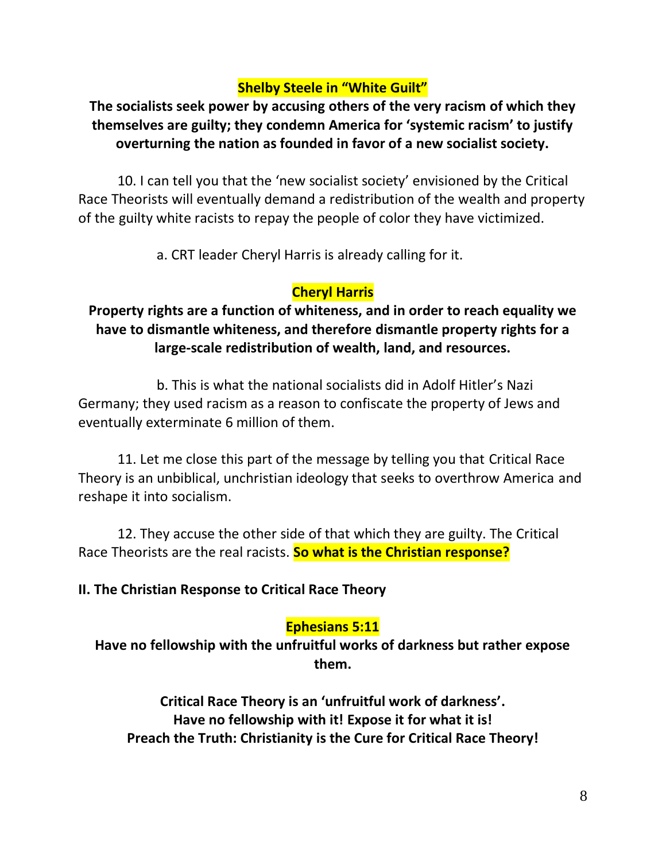# **Shelby Steele in "White Guilt"**

# **The socialists seek power by accusing others of the very racism of which they themselves are guilty; they condemn America for 'systemic racism' to justify overturning the nation as founded in favor of a new socialist society.**

10. I can tell you that the 'new socialist society' envisioned by the Critical Race Theorists will eventually demand a redistribution of the wealth and property of the guilty white racists to repay the people of color they have victimized.

a. CRT leader Cheryl Harris is already calling for it.

## **Cheryl Harris**

# **Property rights are a function of whiteness, and in order to reach equality we have to dismantle whiteness, and therefore dismantle property rights for a large-scale redistribution of wealth, land, and resources.**

b. This is what the national socialists did in Adolf Hitler's Nazi Germany; they used racism as a reason to confiscate the property of Jews and eventually exterminate 6 million of them.

11. Let me close this part of the message by telling you that Critical Race Theory is an unbiblical, unchristian ideology that seeks to overthrow America and reshape it into socialism.

12. They accuse the other side of that which they are guilty. The Critical Race Theorists are the real racists. **So what is the Christian response?**

### **II. The Christian Response to Critical Race Theory**

### **Ephesians 5:11**

**Have no fellowship with the unfruitful works of darkness but rather expose them.**

**Critical Race Theory is an 'unfruitful work of darkness'. Have no fellowship with it! Expose it for what it is! Preach the Truth: Christianity is the Cure for Critical Race Theory!**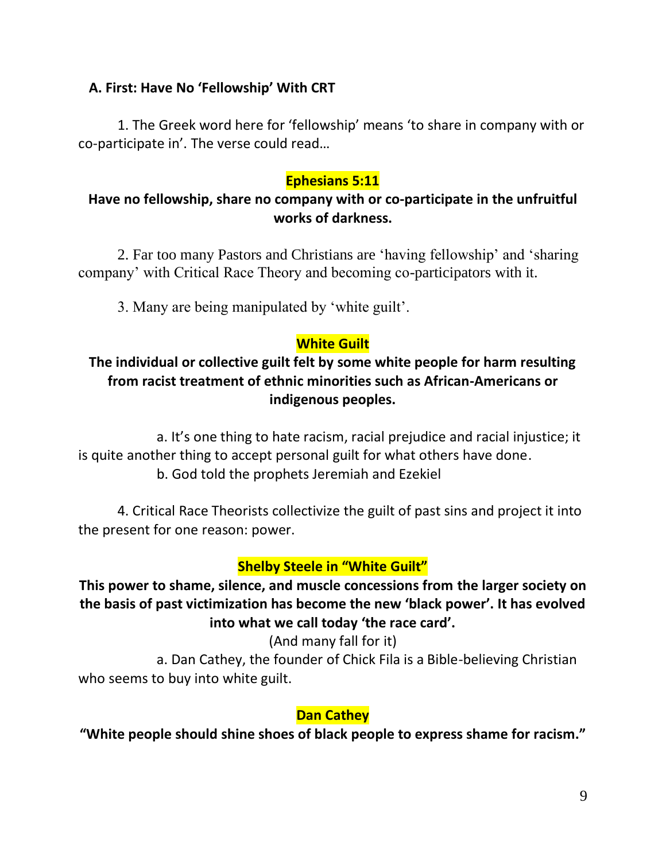## **A. First: Have No 'Fellowship' With CRT**

1. The Greek word here for 'fellowship' means 'to share in company with or co-participate in'. The verse could read…

## **Ephesians 5:11**

## **Have no fellowship, share no company with or co-participate in the unfruitful works of darkness.**

2. Far too many Pastors and Christians are 'having fellowship' and 'sharing company' with Critical Race Theory and becoming co-participators with it.

3. Many are being manipulated by 'white guilt'.

## **White Guilt**

## **The individual or collective guilt felt by some white people for harm resulting from racist treatment of ethnic minorities such as African-Americans or indigenous peoples.**

a. It's one thing to hate racism, racial prejudice and racial injustice; it is quite another thing to accept personal guilt for what others have done. b. God told the prophets Jeremiah and Ezekiel

4. Critical Race Theorists collectivize the guilt of past sins and project it into the present for one reason: power.

## **Shelby Steele in "White Guilt"**

**This power to shame, silence, and muscle concessions from the larger society on the basis of past victimization has become the new 'black power'. It has evolved into what we call today 'the race card'.**

(And many fall for it)

a. Dan Cathey, the founder of Chick Fila is a Bible-believing Christian who seems to buy into white guilt.

### **Dan Cathey**

**"White people should shine shoes of black people to express shame for racism."**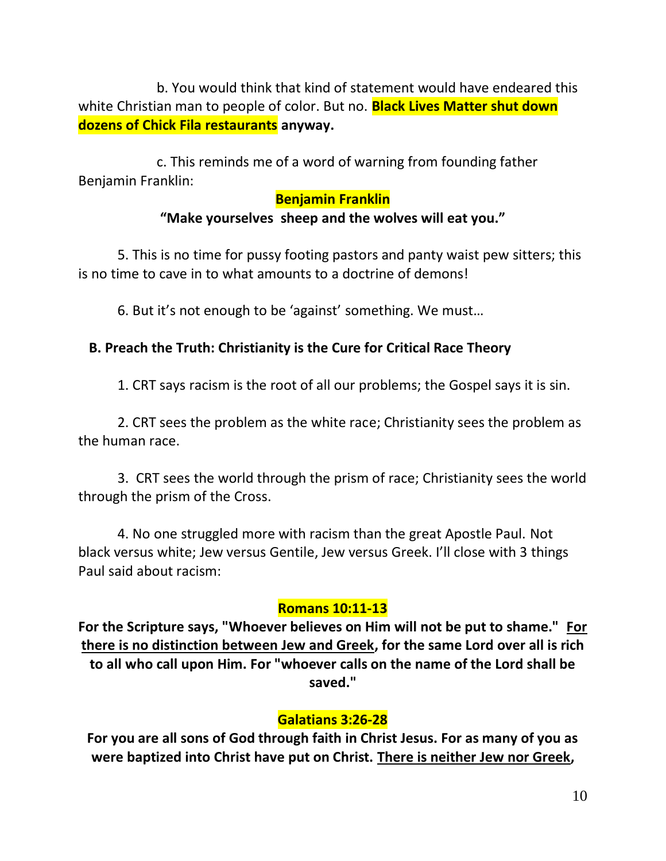b. You would think that kind of statement would have endeared this white Christian man to people of color. But no. **Black Lives Matter shut down dozens of Chick Fila restaurants anyway.**

c. This reminds me of a word of warning from founding father Benjamin Franklin:

#### **Benjamin Franklin**

#### **"Make yourselves sheep and the wolves will eat you."**

5. This is no time for pussy footing pastors and panty waist pew sitters; this is no time to cave in to what amounts to a doctrine of demons!

6. But it's not enough to be 'against' something. We must…

### **B. Preach the Truth: Christianity is the Cure for Critical Race Theory**

1. CRT says racism is the root of all our problems; the Gospel says it is sin.

2. CRT sees the problem as the white race; Christianity sees the problem as the human race.

3. CRT sees the world through the prism of race; Christianity sees the world through the prism of the Cross.

4. No one struggled more with racism than the great Apostle Paul. Not black versus white; Jew versus Gentile, Jew versus Greek. I'll close with 3 things Paul said about racism:

### **Romans 10:11-13**

**For the Scripture says, "Whoever believes on Him will not be put to shame." For there is no distinction between Jew and Greek, for the same Lord over all is rich to all who call upon Him. For "whoever calls on the name of the Lord shall be saved."**

### **Galatians 3:26-28**

**For you are all sons of God through faith in Christ Jesus. For as many of you as were baptized into Christ have put on Christ. There is neither Jew nor Greek,**